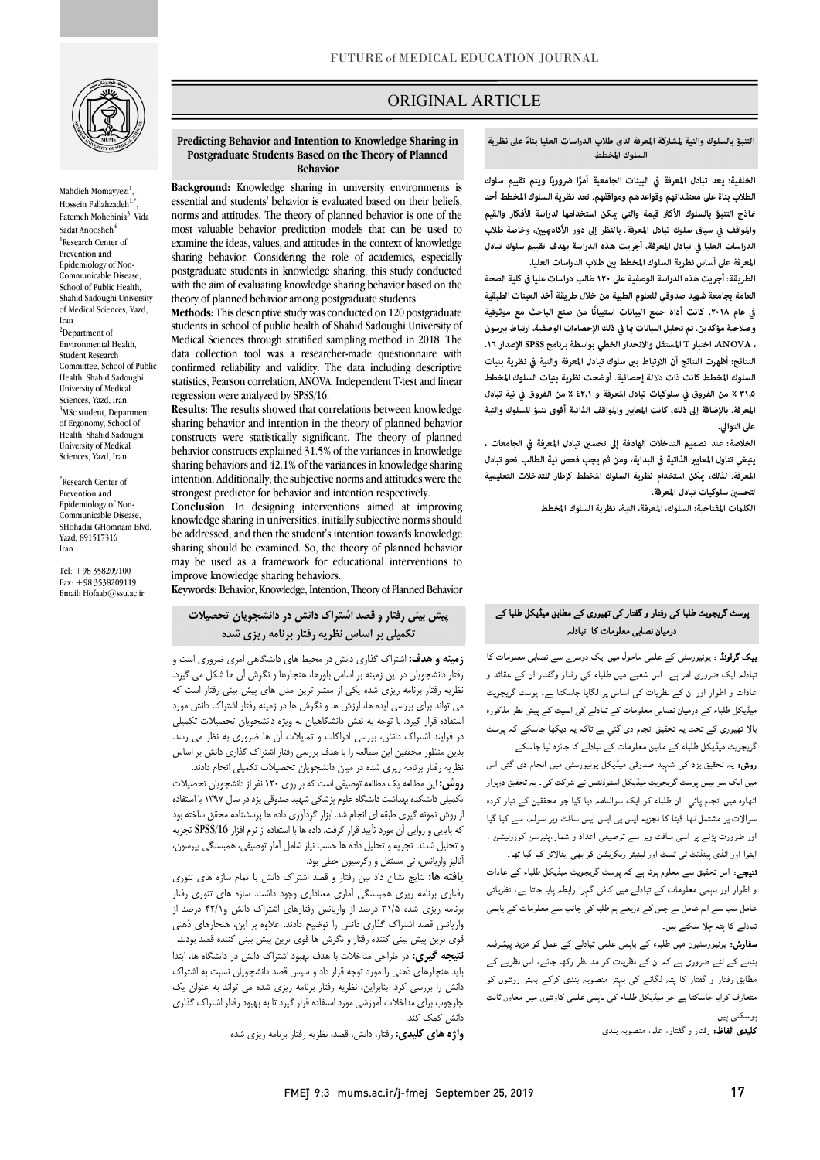

Mahdieh Momayyezi<sup>1</sup>, Hossein Fallahzadeh $1,$ Fatemeh Mohebinia<sup>3</sup>, Vida Sadat Anoosheh<sup>4</sup> <sup>1</sup>Research Center of Prevention and Epidemiology of Non-Communicable Disease, School of Public Health, Shahid Sadoughi University of Medical Sciences, Yazd, Iran <sup>2</sup>Department of Environmental Health, Student Research Committee, School of Public Health, Shahid Sadoughi University of Medical Sciences, Yazd, Iran <sup>3</sup>MSc student, Department of Ergonomy, School of Health, Shahid Sadoughi University of Medical Sciences, Yazd, Iran

\* Research Center of Prevention and Epidemiology of Non-Communicable Disease, SHohadai GHomnam Blvd. Yazd, 891517316 Iran

Tel: +98 358209100 Fax: +98 3538209119 Email: Hofaab@ssu.ac.ir

## ORIGINAL ARTICLE

التنبؤ بالسلوك والنية لمشاركة المعرفة لدى طلاب الدراسات العليا بناءً على نظرية<br>ال **السلوك المخطط**

ص

 **ً الخلفية: ا ويتم تقييم سلوك ًا ضروري يعد تبادل المعرفة في البيئات الجامعية أمر اذج التنبؤ بالسلوك الأك قيمة والتي كن استخدامها لدراسة الأفكار والقيم والمواقف في سياق سلوك تبادل المعرفة. بالنظر إلى دور الأكادي، وخاصة طلاب الدراسات العليا في تبادل المعرفة، أجريت هذه الدراسة بهدف تقييم سلوك تبادل**  المعرفة على أساس نظرية السلوك المخطط بين طلاب الدراسات العليا.<br>. **ً على معتقداتهم وقواعدهم ومواقفهم. تعد نظرية السلوك المخطط أحد الطلاب بناء**

 **العامة بجامعة شهيد صدوقي للعلوم الطبية من خلال طريقة أخذ العينات الطبقية ًا من صنع الباحث مع موثوقية في عام .۲۰۱۸ كانت أداة جمع البيانات استبيان** وصلاحية مؤكدين. تم تحليل البيانات <sub>ك</sub>ا في ذلك الإحصاءات الوصفية، ارتباط بيرسون **، ANOVA، اختبار T المستقل والانحدار الخطي بواسطة برنامج SPSSالإصدار .١٦**  النتائج: أظهرت النتائج أن الارتباط بين سلوك تبادل المعرفة والنية في نظرية بنيات<br>النتائج: **٣١٫٥ ٪ من الفروق في سلوكيات تبادل المعرفة و ٤٢٫١ ٪ من الفروق في نية تبادل المعرفة. بالإضافة إلى ذلك، كانت المعاي والمواقف الذاتية أقوى تنبؤ للسلوك والنية الطريقة: أجريت هذه الدراسة الوصفية على ۱۲۰ طالب دراسات عليا في كلية الصحة السلوك المخطط كانت ذات دلالة إحصائية. أوضحت نظرية بنيات السلوك المخطط على التوالي.** 

 **الخلاصة: عند تصميم التدخلات الهادفة إلى تحس تبادل المعرفة في الجامعات ،**  بنبغي تناول المعايير الذاتية في البداية، ومن ثم يجب فحص نية الطالب نحو تبادل<br>. **لتحس سلوكيات تبادل المعرفة. المعرفة. لذلك، كن استخدام نظرية السلوك المخطط كإطار للتدخلات التعليمية** 

**الكلت المفتاحية: السلوك، المعرفة، النية، نظرية السلوك المخطط** 

# ۔<br>بوسٹ گریجویٹ طلبا کی رفتار و گفتار کی تھیوری کے مطابق میڈیکل طلبا کے درمیان نصابی معلومات کا تبادلہ

**یک گراونڈ :** یونیورسٹی کے علمی ماحول میں ایک دوسر<sub>ے</sub> سے نصابی معلومات کا بیمتر ہے۔ سررری مر ہے۔ میں سبتے ہیں سب سی رینر ریستر ان سے سب رہا۔<br>عادات و اطوار اور ان کے نظریات کی اساس پر لگایا جاسکتا ہے۔ پوسٹ گریجویٹ ۔ مستقبل کے سامنے کے سامنے کے ساتھ ہوتا ہے جس کے بعد سامنے کے بعد سامنے کے بعد سامنے کے بعد سامنے کے بعد سامنے<br>میڈیکل طلباء کے درمیان نصابی معلومات کے تبادلے کی اہمیت کے پیش نظر مذکورہ ۔<br>بالا تھیوری کے تحت یہ تحقیق انجام دی گئي ہے تاکہ یہ دیکھا جاسکے کہ پوسٹ گریجویٹ میڈیکل طلباء کے مابین معلومات کے تبادلے کا جائزہ لیا جاسکے۔ ۔<br>نبادلہ ایک ضروری امر ہے۔ اس شعبے میں طلباء کی رفتار وگفتار ان کے عقائد و

ر**وش:** یہ تحقیق یزد کی شہید صدوقی میڈیکل یونیورسٹی میں انجام دی گئی اس میں ایک سو بیس پوسٹ گریجویٹ میڈیکل اسٹوڈنٹس نے شرکت کی۔ یہ تحقیق دوہزار اٹھارہ میں انجام پائی<sub>۔</sub> ان طلباء کو ایک سوالنامہ دیا گیا جو محققین کے تیار کردہ سوالات پر مشتمل تھا۔ڈیٹا کا تجزیہ ایس پی ایس ایس سافٹ ویر سولہ، سے کیا گیا اور ضرورت پڑنے پر اسی سافٹ ویر سے توصیفی اعداد و شمار،پئیرسن کورولیشن ،<br>. اپنوا اور انڈی پینڈنٹ ٹی ٹسٹ اور لینیئر ریگریشن کو بھی اینالائز کیا گیا تھا۔

ییں اور اس پیمند ہی سب اور بیینز ریا ریس پر بھی ایندر ہے جا تھا۔<br>**تیجے:** اس تحقیق سے معلوم ہوتا ہے کہ پوسٹ گریجویٹ میڈیکل طلباء کے عادات و اار اور ت د ا را ، ۔<br>عامل سب سے اہم عامل ہے جس کے ذریعے ہم طلبا کی جانب سے معلومات کے باہمی .<br>نبادلے کا پتہ چلا سکتے ہیں۔

**سفارش:** یونیورسٹیون میں طلباء کے باہمی علمی تبادلے کے عمل کو مزید پیشرفتہ بنانے کے لئے ضروری ہے کہ ان کے نظریات کو مد نظر رکھا جائے، اس نظریے کے مطابق رفتار و گفتار کا پتہ لگانے کی بہتر منصوبہ بندی کرکے بہتر روشوں کو متعارف کرایا جاسکتا ہے جو میڈیکل طلباء کی باہمی علمی کاوشوں میں معاوں ثابت ہوسکت*ی* ہیں۔

j **کلیدی الفاظ:** رفتار و گفتار، علم، منصوبہ بندی<br>.

#### **Predicting Behavior and Intention to Knowledge Sharing in Postgraduate Students Based on the Theory of Planned Behavior**

Ī

 **Background:** Knowledge sharing in university environments is essential and students' behavior is evaluated based on their beliefs, most valuable behavior prediction models that can be used to examine the ideas, values, and attitudes in the context of knowledge postgraduate students in knowledge sharing, this study conducted with the aim of evaluating knowledge sharing behavior based on the norms and attitudes. The theory of planned behavior is one of the sharing behavior. Considering the role of academics, especially theory of planned behavior among postgraduate students.

 **Methods:** This descriptive study was conducted on 120 postgraduate students in school of public health of Shahid Sadoughi University of Medical Sciences through stratified sampling method in 2018. The confirmed reliability and validity. The data including descriptive statistics, Pearson correlation, ANOVA, Independent T-test and linear data collection tool was a researcher-made questionnaire with regression were analyzed by SPSS/16.

 **Results**: The results showed that correlations between knowledge sharing behavior and intention in the theory of planned behavior behavior constructs explained 31.5% of the variances in knowledge sharing behaviors and 42.1% of the variances in knowledge sharing strongest predictor for behavior and intention respectively. constructs were statistically significant. The theory of planned intention. Additionally, the subjective norms and attitudes were the

 **Conclusion**: In designing interventions aimed at improving knowledge sharing in universities, initiallysubjective norms should sharing should be examined. So, the theory of planned behavior may be used as a framework for educational interventions to be addressed, and then the student's intention towards knowledge improve knowledge sharing behaviors.

**Keywords:** Behavior, Knowledge, Intention, Theory of Planned Behavior

# **پیش بینی رفتار و قصد اشتراك دانش در دانشجویان تحصیلات تکمیلی بر اساس نظریه رفتار برنامه ریزي شده**

 **زمینه و هدف:** اشتراك گذاري دانش در محیط هاي دانشگاهی امري ضروري است و رستر منسبترین در بین رئیسه برنستس بورنسه سینیورد و مترس آن ما ساس می میرند.<br>نظریه رفتار برنامه ریزی شده یکی از معتبر ترین مدل های پیش بینی رفتار است که می تواند براي بررسی ایده ها، ارزش ها و نگرش ها در زمینه رفتار اشتراك دانش مورد استفاده قرار گیرد. با توجه به نقش دانشگاهیان به ویژه دانشجویان تحصیلات تکمیلی در فرایند اشتراك دانش، بررسی ادراکات و تمایلات آن ها ضروري به نظر می رسد. نظریه رفتار برنامه ریزي شده در میان دانشجویان تحصیلات تکمیلی انجام دادند. رفتار دانشجویان در این زمینه بر اساس باورها، هنجارها و نگرش آن ها شکل می گیرد. بدین منظور محققین این مطالعه را با هدف بررسی رفتار اشتراك گذاري دانش بر اساس

 **روش:** این مطالعه یک مطالعه توصیفی است که بر روي 120 نفر از دانشجویان تحصیلات تکمیلی دانشکده بهداشت دانشگاه علوم پزشکی شهید صدوقی یزد در سال 1397 با استفاده ر روس تئوید تیری تبیته ای ایجام شد.ابرار خرداوری داده تا پرسستانه محلق شخصه بود<br>که پایایی و روایی آن مورد تأیید قرار گرفت. داده ها با استفاده از نرم افزار SPSS/16 تجزیه و تحلیل شدند. تجزیه و تحلیل داده ها حسب نیاز شامل آمار توصیفی، همبستگی پیرسون، آنالیز واریانس، تی مستقل و رگرسیون خطی بود. از روش نمونه گیري طبقه اي انجام شد. ابزار گردآوري داده ها پرسشنامه محقق ساخته بود

 **یافته ها:** نتایج نشان داد بین رفتار و قصد اشتراك دانش با تمام سازه هاي تئوري برنامه ریزی شده ۱۵/۱۵ درصد از واریانس رفتارهای اشتراک دانش و (۹۲/<br>برنامه ریزی شده ۳۱/۵ درصد از واریانس رفتارهای اشتراک دانش و ۴۲/۱ درصد از واریانس قصد اشتراك گذاري دانش را توضیح دادند. علاوه بر این، هنجارهاي ذهنی قوي ترین پیش بینی کننده رفتار و نگرش ها قوي ترین پیش بینی کننده قصد بودند. **نتیجه گیري:** در طراحی مداخلات با هدف بهبود اشتراك دانش در دانشگاه ها، ابتدا دانش را بررسی کرد. بنابراین، نظریه رفتار برنامه ریزي شده می تواند به عنوان یک چارچوب براي مداخلات آموزشی مورد استفاده قرار گیرد تا به بهبود رفتار اشتراك گذاري رفتاري برنامه ریزي همبستگی آماري معناداري وجود داشت. سازه هاي تئوري رفتار باید هنجارهاي ذهنی را مورد توجه قرار داد و سپس قصد دانشجویان نسبت به اشتراك دانش کمک کند.

**واژه هاي کلیدي:** رفتار، دانش، قصد، نظریه رفتار برنامه ریزي شده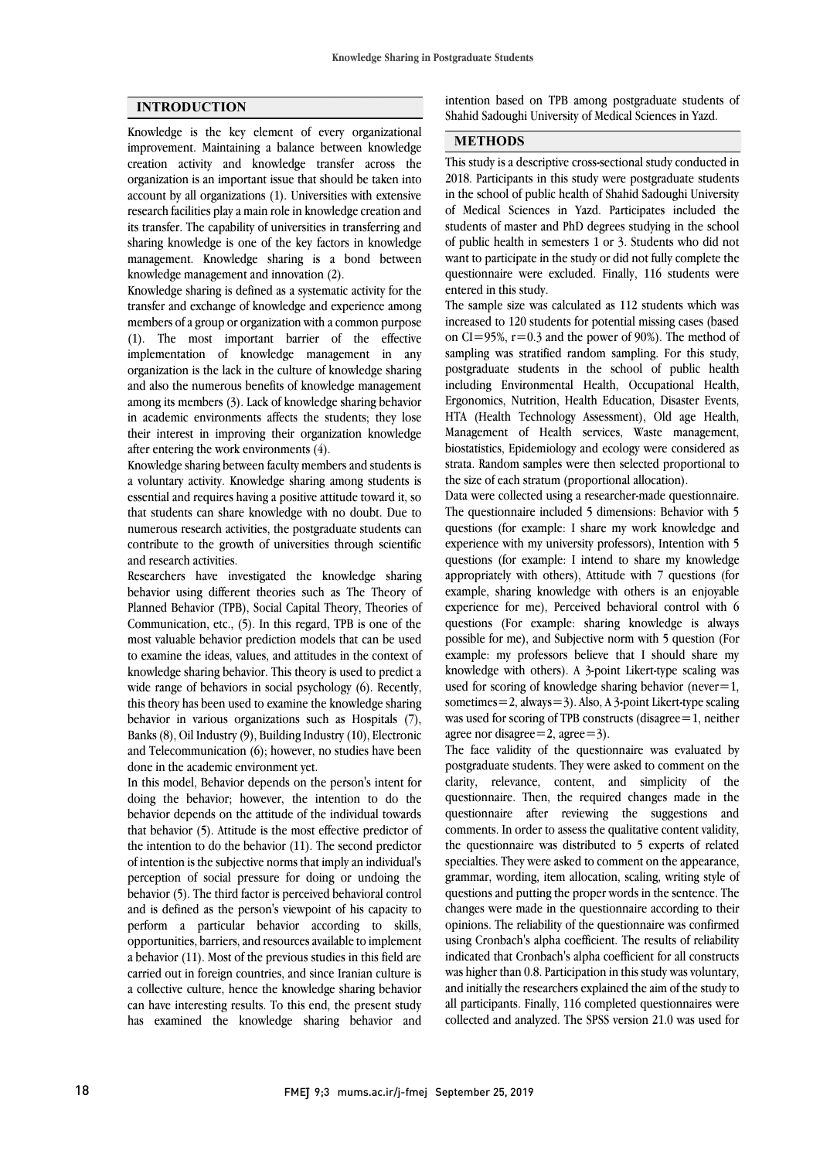#### **INTRODUCTION**

 Knowledge is the key element of every organizational improvement. Maintaining a balance between knowledge creation activity and knowledge transfer across the organization is an important issue that should be taken into research facilities play a main role in knowledge creation and its transfer. The capability of universities in transferring and sharing knowledge is one of the key factors in knowledge management. Knowledge sharing is a bond between account by all organizations (1). Universities with extensive knowledge management and innovation (2).

 Knowledge sharing is defined as a systematic activity for the transfer and exchange of knowledge and experience among members of a group or organization with a common purpose implementation of knowledge management in any organization is the lack in the culture of knowledge sharing and also the numerous benefits of knowledge management among its members (3). Lack of knowledge sharing behavior their interest in improving their organization knowledge (1). The most important barrier of the effective in academic environments affects the students; they lose after entering the work environments (4).

 Knowledge sharing between faculty members and students is a voluntary activity. Knowledge sharing among students is essential and requires having a positive attitude toward it, so numerous research activities, the postgraduate students can contribute to the growth of universities through scientific that students can share knowledge with no doubt. Due to and research activities.

 behavior using different theories such as The Theory of Planned Behavior (TPB), Social Capital Theory, Theories of Communication, etc., (5). In this regard, TPB is one of the most valuable behavior prediction models that can be used knowledge sharing behavior. This theory is used to predict a wide range of behaviors in social psychology (6). Recently, this theory has been used to examine the knowledge sharing behavior in various organizations such as Hospitals (7),  $a$ and Telecommunication  $(6)$ ; however, no studies have been Researchers have investigated the knowledge sharing to examine the ideas, values, and attitudes in the context of Banks (8), Oil Industry (9), Building Industry (10), Electronic done in the academic environment yet.

 In this model, Behavior depends on the person's intent for doing the behavior; however, the intention to do the that behavior (5). Attitude is the most effective predictor of the intention to do the behavior (11). The second predictor of intention is the subjective norms that imply an individual's perception of social pressure for doing or undoing the and is defined as the person's viewpoint of his capacity to perform a particular behavior according to skills, opportunities, barriers, and resources available to implement a behavior (11). Most of the previous studies in this field are a collective culture, hence the knowledge sharing behavior can have interesting results. To this end, the present study has examined the knowledge sharing behavior and behavior depends on the attitude of the individual towards behavior (5). The third factor is perceived behavioral control carried out in foreign countries, and since Iranian culture is

 intention based on TPB among postgraduate students of ֦ Shahid Sadoughi University of Medical Sciences in Yazd.

 $\overline{a}$ 

#### **METHODS**

 This study is a descriptive cross-sectional study conducted in of Medical Sciences in Yazd. Participates included the students of master and PhD degrees studying in the school of public health in semesters 1 or 3. Students who did not want to participate in the study or did not fully complete the questionnaire were excluded. Finally, 116 students were 2018. Participants in this study were postgraduate students in the school of public health of Shahid Sadoughi University entered in this study.

 The sample size was calculated as 112 students which was increased to 120 students for potential missing cases (based on CI=95%, r=0.3 and the power of 90%). The method of postgraduate students in the school of public health including Environmental Health, Occupational Health, Ergonomics, Nutrition, Health Education, Disaster Events, HTA (Health Technology Assessment), Old age Health, biostatistics, Epidemiology and ecology were considered as strata. Random samples were then selected proportional to sampling was stratified random sampling. For this study, Management of Health services, Waste management, the size of each stratum (proportional allocation).

 Data were collected using a researcher-made questionnaire. questions (for example: I share my work knowledge and experience with my university professors), Intention with 5 questions (for example: I intend to share my knowledge appropriately with others), Attitude with 7 questions (for experience for me), Perceived behavioral control with 6 questions (For example: sharing knowledge is always possible for me), and Subjective norm with 5 question (For example: my professors believe that I should share my used for scoring of knowledge sharing behavior (never=1, sometimes=2, always=3). Also, A 3-point Likert-type scaling was used for scoring of TPB constructs (disagree=1, neither The questionnaire included 5 dimensions: Behavior with 5 example, sharing knowledge with others is an enjoyable knowledge with others). A 3-point Likert-type scaling was agree nor disagree=2, agree=3).

agree nor disagree  $-2$ , agree  $-5$ ).<br>The face validity of the questionnaire was evaluated by postgraduate students. They were asked to comment on the clarity, relevance, content, and simplicity of the questionnaire. Then, the required changes made in the questionnaire after reviewing the suggestions and the questionnaire was distributed to 5 experts of related specialties. They were asked to comment on the appearance, grammar, wording, item allocation, scaling, writing style of questions and putting the proper words in the sentence. The opinions. The reliability of the questionnaire was confirmed using Cronbach's alpha coefficient. The results of reliability indicated that Cronbach's alpha coefficient for all constructs was higher than 0.8. Participation in this study was voluntary, all participants. Finally, 116 completed questionnaires were collected and analyzed. The SPSS version 21.0 was used for comments. In order to assess the qualitative content validity, changes were made in the questionnaire according to their and initially the researchers explained the aim of the study to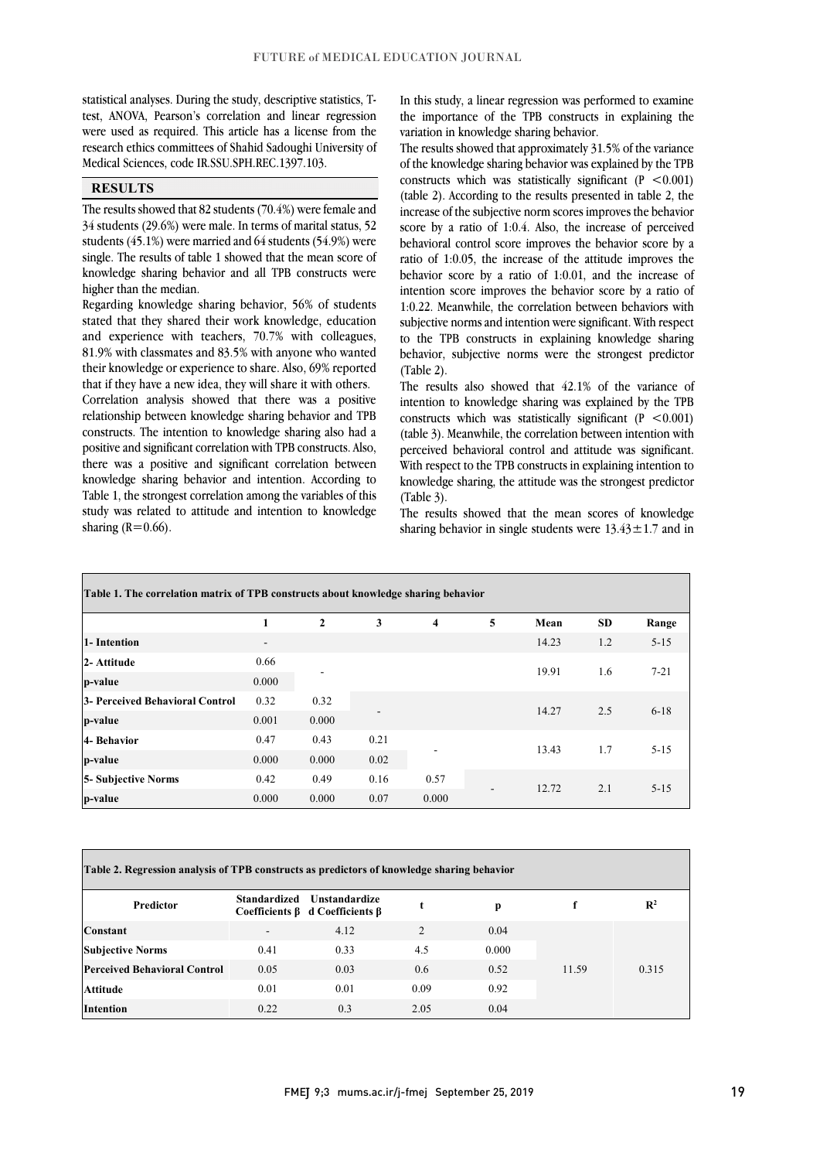test, ANOVA, Pearson's correlation and linear regression were used as required. This article has a license from the research ethics committees of Shahid Sadoughi University of statistical analyses. During the study, descriptive statistics, T-Medical Sciences, code IR.SSU.SPH.REC.1397.103.

## **RESULTS**

 The results showed that 82 students (70.4%) were female and 34 students (29.6%) were male. In terms of marital status, 52 students (45.1%) were married and 64 students (54.9%) were knowledge sharing behavior and all TPB constructs were single. The results of table 1 showed that the mean score of higher than the median.

 Regarding knowledge sharing behavior, 56% of students stated that they shared their work knowledge, education 81.9% with classmates and 83.5% with anyone who wanted their knowledge or experience to share. Also, 69% reported that if they have a new idea, they will share it with others. Correlation analysis showed that there was a positive constructs. The intention to knowledge sharing also had a positive and significant correlation with TPB constructs. Also, there was a positive and significant correlation between knowledge sharing behavior and intention. According to study was related to attitude and intention to knowledge and experience with teachers, 70.7% with colleagues, relationship between knowledge sharing behavior and TPB Table 1, the strongest correlation among the variables of this sharing  $(R=0.66)$ .

 the importance of the TPB constructs in explaining the In this study, a linear regression was performed to examine variation in knowledge sharing behavior.

 The results showed that approximately 31.5% of the variance of the knowledge sharing behavior was explained by the TPB constructs which was statistically significant  $(P \le 0.001)$  increase of the subjective norm scores improves the behavior score by a ratio of 1:0.4. Also, the increase of perceived behavioral control score improves the behavior score by a behavior score by a ratio of 1:0.01, and the increase of intention score improves the behavior score by a ratio of 1:0.22. Meanwhile, the correlation between behaviors with subjective norms and intention were significant. With respect behavior, subjective norms were the strongest predictor (table 2). According to the results presented in table 2, the ratio of 1:0.05, the increase of the attitude improves the to the TPB constructs in explaining knowledge sharing (Table 2).

 The results also showed that 42.1% of the variance of intention to knowledge sharing was explained by the TPB  $(t \leq 0.001)$  (table 3). Meanwhile, the correlation between intention with perceived behavioral control and attitude was significant. With respect to the TPB constructs in explaining intention to knowledge sharing, the attitude was the strongest predictor constructs which was statistically significant  $(P \le 0.001)$ (Table 3).

The results showed that the mean scores of knowledge sharing behavior in single students were  $13.43 \pm 1.7$  and in

| Table 1. The correlation matrix of TPB constructs about knowledge sharing behavior |                          |               |              |                         |   |       |           |          |
|------------------------------------------------------------------------------------|--------------------------|---------------|--------------|-------------------------|---|-------|-----------|----------|
|                                                                                    | 1                        | $\mathbf{2}$  | 3            | $\overline{\mathbf{4}}$ | 5 | Mean  | <b>SD</b> | Range    |
| 1- Intention                                                                       | $\overline{\phantom{a}}$ |               |              |                         |   | 14.23 | 1.2       | $5 - 15$ |
| 2- Attitude<br>p-value                                                             | 0.66<br>0.000            |               |              |                         |   | 19.91 | 1.6       | $7 - 21$ |
| 3- Perceived Behavioral Control<br>p-value                                         | 0.32<br>0.001            | 0.32<br>0.000 |              |                         |   | 14.27 | 2.5       | $6-18$   |
| 4- Behavior<br>p-value                                                             | 0.47<br>0.000            | 0.43<br>0.000 | 0.21<br>0.02 |                         |   | 13.43 | 1.7       | $5 - 15$ |
| <b>5- Subjective Norms</b>                                                         | 0.42                     | 0.49          | 0.16         | 0.57                    |   | 12.72 | 2.1       | $5 - 15$ |
| p-value                                                                            | 0.000                    | 0.000         | 0.07         | 0.000                   |   |       |           |          |

| Table 2. Regression analysis of TPB constructs as predictors of knowledge sharing behavior |                      |                                             |       |       |                |  |  |  |
|--------------------------------------------------------------------------------------------|----------------------|---------------------------------------------|-------|-------|----------------|--|--|--|
| <b>Standardized</b>                                                                        | <b>Unstandardize</b> |                                             | p     |       | $\mathbb{R}^2$ |  |  |  |
|                                                                                            | 4.12                 | $\mathfrak{D}$                              | 0.04  | 11.59 | 0.315          |  |  |  |
| 0.41                                                                                       | 0.33                 | 4.5                                         | 0.000 |       |                |  |  |  |
| 0.05                                                                                       | 0.03                 | 0.6                                         | 0.52  |       |                |  |  |  |
| 0.01                                                                                       | 0.01                 | 0.09                                        | 0.92  |       |                |  |  |  |
| 0.22                                                                                       | 0.3                  | 2.05                                        | 0.04  |       |                |  |  |  |
|                                                                                            |                      | Coefficients $\beta$ d Coefficients $\beta$ |       |       |                |  |  |  |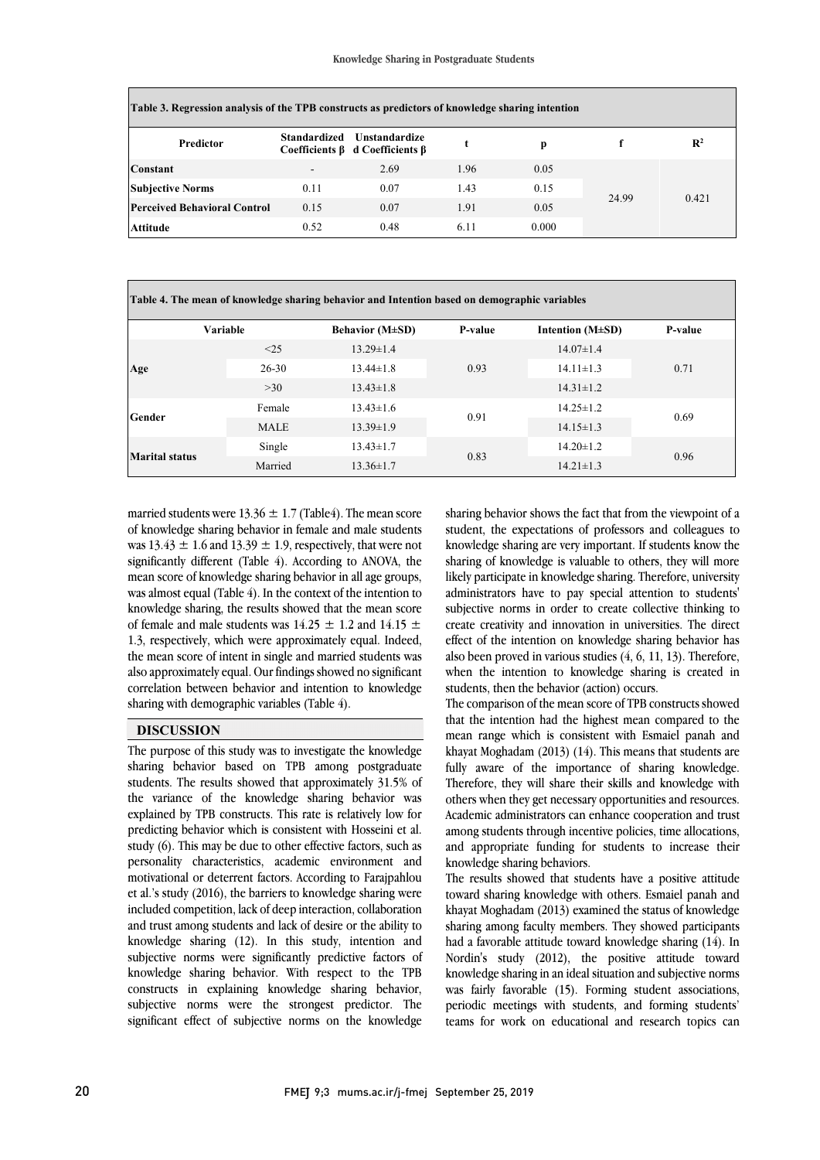| Table 3. Regression analysis of the TPB constructs as predictors of knowledge sharing intention |              |                                                              |      |       |       |                |  |
|-------------------------------------------------------------------------------------------------|--------------|--------------------------------------------------------------|------|-------|-------|----------------|--|
| <b>Predictor</b>                                                                                | Standardized | Unstandardize<br>Coefficients $\beta$ d Coefficients $\beta$ |      | p     |       | $\mathbb{R}^2$ |  |
| <b>Constant</b>                                                                                 | $\sim$       | 2.69                                                         | 1.96 | 0.05  |       | 0.421          |  |
| <b>Subjective Norms</b>                                                                         | 0.11         | 0.07                                                         | 1.43 | 0.15  | 24.99 |                |  |
| <b>Perceived Behavioral Control</b>                                                             | 0.15         | 0.07                                                         | 1.91 | 0.05  |       |                |  |
| Attitude                                                                                        | 0.52         | 0.48                                                         | 6.11 | 0.000 |       |                |  |

 **Table 4. The mean of knowledge sharing behavior and Intention based on demographic variables Variable Behavior (M±SD) P-value Intention (M±SD) P-value Age**  $< 25$  13.29 $\pm$ 1.4 0.93 14.07±1.4 26-30 13.44±1.8 0.93 14.11±1.3 0.71  $>30$  13.43 $\pm$ 1.8 14.31 $\pm$ 1.2 **Gender** Female 13.43±1.6 0.91  $14.25+1.2$ 0.69 MALE 13.39±1.9 14.15±1.3 **Marital status** Single 13.43±1.7<br>Married 13.36+1.7 0.83 14.20±1.2 0.96 Married 13.36±1.7 14.21±1.3

ֺ֖֚֝֬

married students were  $13.36 \pm 1.7$  (Table4). The mean score of knowledge sharing behavior in female and male students was  $13.43 \pm 1.6$  and  $13.39 \pm 1.9$ , respectively, that were not significantly different (Table 4). According to ANOVA, the mean score of knowledge sharing behavior in all age groups, knowledge sharing, the results showed that the mean score of female and male students was  $14.25 \pm 1.2$  and  $14.15 \pm 1.2$  1.3, respectively, which were approximately equal. Indeed, also approximately equal. Our findings showed no significant correlation between behavior and intention to knowledge was almost equal (Table 4). In the context of the intention to the mean score of intent in single and married students was sharing with demographic variables (Table 4).

### **DISCUSSION**

 The purpose of this study was to investigate the knowledge sharing behavior based on TPB among postgraduate students. The results showed that approximately 31.5% of the variance of the knowledge sharing behavior was study (6). This may be due to other effective factors, such as personality characteristics, academic environment and motivational or deterrent factors. According to Farajpahlou included competition, lack of deep interaction, collaboration and trust among students and lack of desire or the ability to knowledge sharing (12). In this study, intention and explained by TPB constructs. This rate is relatively low for predicting behavior which is consistent with Hosseini et al. et al.'s study (2016), the barriers to knowledge sharing were subjective norms were significantly predictive factors of knowledge sharing behavior. With respect to the TPB constructs in explaining knowledge sharing behavior, subjective norms were the strongest predictor. The significant effect of subjective norms on the knowledge

 sharing behavior shows the fact that from the viewpoint of a student, the expectations of professors and colleagues to knowledge sharing are very important. If students know the sharing of knowledge is valuable to others, they will more likely participate in knowledge sharing. Therefore, university subjective norms in order to create collective thinking to create creativity and innovation in universities. The direct effect of the intention on knowledge sharing behavior has when the intention to knowledge sharing is created in administrators have to pay special attention to students' also been proved in various studies (4, 6, 11, 13). Therefore, students, then the behavior (action) occurs.

 The comparison of the mean score of TPB constructs showed that the intention had the highest mean compared to the khayat Moghadam (2013) (14). This means that students are fully aware of the importance of sharing knowledge. Therefore, they will share their skills and knowledge with others when they get necessary opportunities and resources. among students through incentive policies, time allocations, and appropriate funding for students to increase their mean range which is consistent with Esmaiel panah and Academic administrators can enhance cooperation and trust knowledge sharing behaviors.

 The results showed that students have a positive attitude khayat Moghadam (2013) examined the status of knowledge sharing among faculty members. They showed participants had a favorable attitude toward knowledge sharing (14). In Nordin's study (2012), the positive attitude toward was fairly favorable (15). Forming student associations, periodic meetings with students, and forming students' teams for work on educational and research topics can toward sharing knowledge with others. Esmaiel panah and knowledge sharing in an ideal situation and subjective norms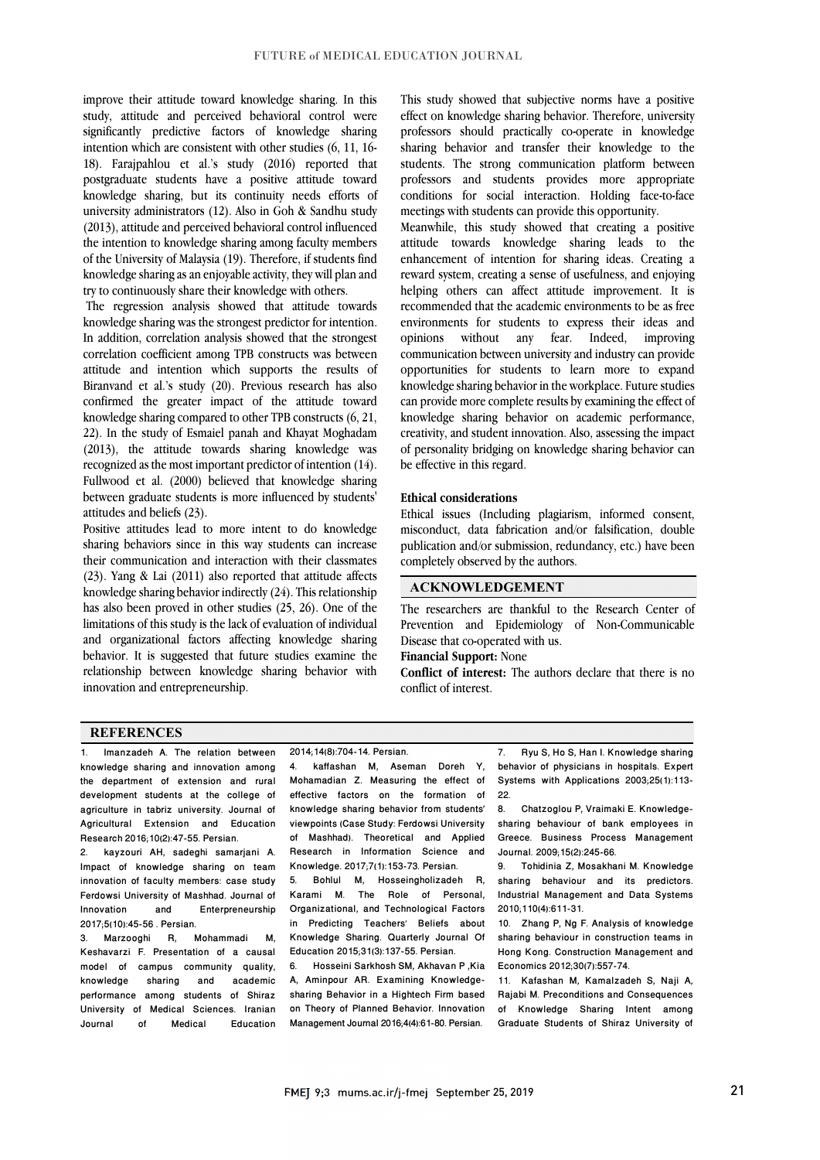improve their attitude toward knowledge sharing. In this study, attitude and perceived behavioral control were significantly predictive factors of knowledge sharing intention which are consistent with other studies (6, 11, 16- 18). Farajpahlou et al.'s study (2016) reported that postgraduate students have a positive attitude toward knowledge sharing, but its continuity needs efforts of university administrators (12). Also in Goh & Sandhu study (2013), attitude and perceived behavioral control influenced the intention to knowledge sharing among faculty members of the University of Malaysia (19). Therefore, if students find knowledge sharing as an enjoyable activity, they will plan and try to continuously share their knowledge with others.

The regression analysis showed that attitude towards knowledge sharing was the strongest predictor for intention. In addition, correlation analysis showed that the strongest correlation coefficient among TPB constructs was between attitude and intention which supports the results of Biranvand et al.'s study (20). Previous research has also confirmed the greater impact of the attitude toward knowledge sharing compared to other TPB constructs (6, 21, 22). In the study of Esmaiel panah and Khayat Moghadam (2013), the attitude towards sharing knowledge was recognized as the most important predictor of intention (14). Fullwood et al. (2000) believed that knowledge sharing between graduate students is more influenced by students' attitudes and beliefs (23).

Positive attitudes lead to more intent to do knowledge sharing behaviors since in this way students can increase their communication and interaction with their classmates (23). Yang & Lai (2011) also reported that attitude affects knowledge sharing behavior indirectly (24). This relationship has also been proved in other studies (25, 26). One of the limitations of this study is the lack of evaluation of individual and organizational factors affecting knowledge sharing behavior. It is suggested that future studies examine the relationship between knowledge sharing behavior with innovation and entrepreneurship.

This study showed that subjective norms have a positive effect on knowledge sharing behavior. Therefore, university professors should practically co-operate in knowledge sharing behavior and transfer their knowledge to the students. The strong communication platform between professors and students provides more appropriate conditions for social interaction. Holding face-to-face meetings with students can provide this opportunity.

Meanwhile, this study showed that creating a positive attitude towards knowledge sharing leads to the enhancement of intention for sharing ideas. Creating a reward system, creating a sense of usefulness, and enjoying helping others can affect attitude improvement. It is recommended that the academic environments to be as free environments for students to express their ideas and opinions without any fear. Indeed, improving communication between university and industry can provide opportunities for students to learn more to expand knowledge sharing behavior in the workplace. Future studies can provide more complete results by examining the effect of knowledge sharing behavior on academic performance, creativity, and student innovation. Also, assessing the impact of personality bridging on knowledge sharing behavior can be effective in this regard.

#### **Ethical considerations**

Ethical issues (Including plagiarism, informed consent, misconduct, data fabrication and/or falsification, double publication and/or submission, redundancy, etc.) have been completely observed by the authors.

#### **ACKNOWLEDGEMENT**

The researchers are thankful to the Research Center of Prevention and Epidemiology of Non-Communicable Disease that co-operated with us.

**Financial Support:** None

**Conflict of interest:** The authors declare that there is no conflict of interest.

#### **REFERENCES**

1. Imanzadeh A. The relation between knowledge sharing and innovation among the department of extension and rural development students at the college of agriculture in tabriz university. Journal of Agricultural Extension and Education Research 2016;10(2):47-55. Persian.

2. kayzouri AH, sadeghi samarjani A. Impact of knowledge sharing on team innovation of faculty members: case study Ferdowsi University of Mashhad. Journal of<br>Innovation and Enterpreneurship **Enterpreneurship** 2017;5(10):45-56 . Persian.

3. Marzooghi R, Mohammadi M, Keshavarzi F. Presentation of a causal model of campus community quality, knowledge sharing and academic performance among students of Shiraz University of Medical Sciences. Iranian **Education**  2014;14(8):704-14. Persian.

kaffashan M, Aseman Doreh Y, Mohamadian Z. Measuring the effect of effective factors on the formation of knowledge sharing behavior from students' viewpoints (Case Study: Ferdowsi University of Mashhad). Theoretical and Applied Research in Information Science and Knowledge. 2017;7(1):153-73. Persian.

5. Bohlul M, Hosseingholizadeh R, Karami M. The Role of Personal, Organizational, and Technological Factors in Predicting Teachers' Beliefs about Knowledge Sharing. Quarterly Journal Of Education 2015;31(3):137-55. Persian.

6. Hosseini Sarkhosh SM, Akhavan P ,Kia A, Aminpour AR. Examining Knowledgesharing Behavior in a Hightech Firm based on Theory of Planned Behavior. Innovation Management Journal 2016;4(4):61-80. Persian.

7. Ryu S, Ho S, Han I. Knowledge sharing behavior of physicians in hospitals. Expert Systems with Applications 2003;25(1):113-  $22.8$ .

8. Chatzoglou P, Vraimaki E. Knowledgesharing behaviour of bank employees in Greece. Business Process Management Journal. 2009;15(2):245-66.

9. Tohidinia Z, Mosakhani M. Knowledge sharing behaviour and its predictors. Industrial Management and Data Systems 2010;110(4):611-31.

10. Zhang P, Ng F. Analysis of knowledge sharing behaviour in construction teams in Hong Kong. Construction Management and Economics 2012;30(7):557-74.

11. Kafashan M, Kamalzadeh S, Naji A, Rajabi M. Preconditions and Consequences of Knowledge Sharing Intent among Graduate Students of Shiraz University of